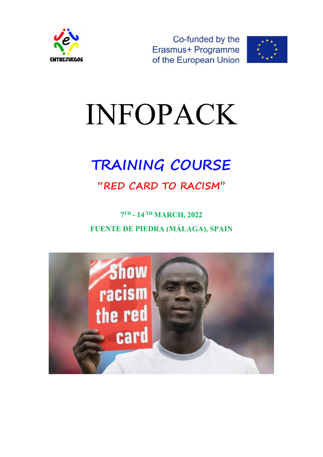



# INFOPACK

# **TRAINING COURSE**

## **"RED CARD TO RACISM''**

### **7 TH - 14 TH MARCH, 2022 FUENTE DE PIEDRA (MÁLAGA), SPAIN**

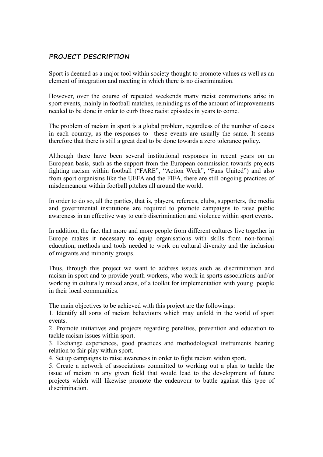#### **PROJECT DESCRIPTION**

Sport is deemed as a major tool within society thought to promote values as well as an element of integration and meeting in which there is no discrimination.

However, over the course of repeated weekends many racist commotions arise in sport events, mainly in football matches, reminding us of the amount of improvements needed to be done in order to curb those racist episodes in years to come.

The problem of racism in sport is a global problem, regardless of the number of cases in each country, as the responses to these events are usually the same. It seems therefore that there is still a great deal to be done towards a zero tolerance policy.

Although there have been several institutional responses in recent years on an European basis, such as the support from the European commission towards projects fighting racism within football ("FARE", "Action Week", "Fans United") and also from sport organisms like the UEFA and the FIFA, there are still ongoing practices of misdemeanour within football pitches all around the world.

In order to do so, all the parties, that is, players, referees, clubs, supporters, the media and governmental institutions are required to promote campaigns to raise public awareness in an effective way to curb discrimination and violence within sport events.

In addition, the fact that more and more people from different cultures live together in Europe makes it necessary to equip organisations with skills from non-formal education, methods and tools needed to work on cultural diversity and the inclusion of migrants and minority groups.

Thus, through this project we want to address issues such as discrimination and racism in sport and to provide youth workers, who work in sports associations and/or working in culturally mixed areas, of a toolkit for implementation with young people in their local communities.

The main objectives to be achieved with this project are the followings:

1. Identify all sorts of racism behaviours which may unfold in the world of sport events.

2. Promote initiatives and projects regarding penalties, prevention and education to tackle racism issues within sport.

3. Exchange experiences, good practices and methodological instruments bearing relation to fair play within sport.

4. Set up campaigns to raise awareness in order to fight racism within sport.

5. Create a network of associations committed to working out a plan to tackle the issue of racism in any given field that would lead to the development of future projects which will likewise promote the endeavour to battle against this type of discrimination.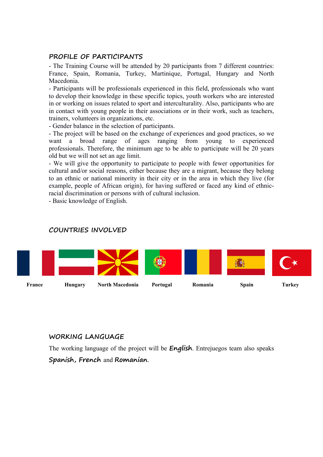#### **PROFILE OF PARTICIPANTS**

- The Training Course will be attended by 20 participants from 7 different countries: France, Spain, Romania, Turkey, Martinique, Portugal, Hungary and North Macedonia.

- Participants will be professionals experienced in this field, professionals who want to develop their knowledge in these specific topics, youth workers who are interested in or working on issues related to sport and interculturality. Also, participants who are in contact with young people in their associations or in their work, such as teachers, trainers, volunteers in organizations, etc.

- Gender balance in the selection of participants.

- The project will be based on the exchange of experiences and good practices, so we want a broad range of ages ranging from young to experienced professionals. Therefore, the minimum age to be able to participate will be 20 years old but we will not set an age limit.

- We will give the opportunity to participate to people with fewer opportunities for cultural and/or social reasons, either because they are a migrant, because they belong to an ethnic or national minority in their city or in the area in which they live (for example, people of African origin), for having suffered or faced any kind of ethnicracial discrimination or persons with of cultural inclusion.

- Basic knowledge of English.

#### **COUNTRIES INVOLVED**



#### **WORKING LANGUAGE**

The working language of the project will be **English**. Entrejuegos team also speaks

#### **Spanish, French** and **Romanian**.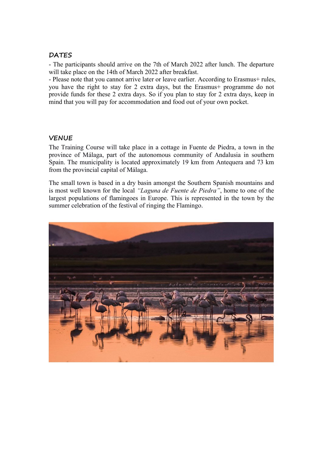#### **DATES**

- The participants should arrive on the 7th of March 2022 after lunch. The departure will take place on the 14th of March 2022 after breakfast.

- Please note that you cannot arrive later or leave earlier. According to Erasmus+ rules, you have the right to stay for 2 extra days, but the Erasmus+ programme do not provide funds for these 2 extra days. So if you plan to stay for 2 extra days, keep in mind that you will pay for accommodation and food out of your own pocket.

#### **VENUE**

The Training Course will take place in a cottage in Fuente de Piedra, a town in the province of Málaga, part of the autonomous community of Andalusia in southern Spain. The municipality is located approximately 19 km from Antequera and 73 km from the provincial capital of Málaga.

The small town is based in a dry basin amongst the Southern Spanish mountains and is most well known for the local *"Laguna de Fuente de Piedra"*, home to one of the largest populations of flamingoes in Europe. This is represented in the town by the summer celebration of the festival of ringing the Flamingo.

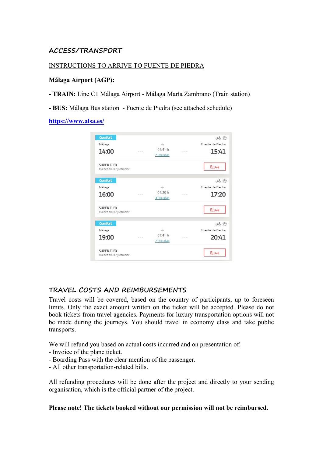#### **ACCESS/TRANSPORT**

#### INSTRUCTIONS TO ARRIVE TO FUENTE DE PIEDRA

#### **Málaga Airport (AGP):**

**- TRAIN:** Line C1 Málaga Airport- Málaga María Zambrano (Train station)

**- BUS:** Málaga Bus station - Fuente de Piedra (see attached schedule)

#### **<https://www.alsa.es/>**

| <b>Comfort</b>          |         |               |              | $ab^{\circ}$     |
|-------------------------|---------|---------------|--------------|------------------|
| Málaga                  |         | $\rightarrow$ |              | Fuente de Piedra |
| 14:00                   | $-22.5$ | 01:41 h       | Car or on    | 15:41            |
|                         |         | 7 Paradas     |              |                  |
| <b>SUPER FLEX</b>       |         |               |              | $8,14 \in$       |
| Puedes anular y cambiar |         |               |              |                  |
| <b>Comfort</b>          |         |               |              | 96 2             |
| Málaga                  |         | $\rightarrow$ |              | Fuente de Piedra |
| 16:00                   | 1.11    | 01:20h        | 1.0133333333 | 17:20            |
|                         |         | 3 Paradas     |              |                  |
| <b>SUPER FLEX</b>       |         |               |              | $8.14 \in$       |
| Puedes anular y cambiar |         |               |              |                  |
| <b>Comfort</b>          |         |               |              | 96 2             |
| Málaga                  |         | $\rightarrow$ |              | Fuente de Piedra |
| 19:00                   | 1.11    | 01:41 h       | 1.014141     | 20:41            |
|                         |         | 7 Paradas     |              |                  |
| <b>SUPER FLEX</b>       |         |               |              | 8,14€            |
| Puedes anular y cambiar |         |               |              |                  |

#### **TRAVEL COSTS AND REIMBURSEMENTS**

Travel costs will be covered, based on the country of participants, up to foreseen limits. Only the exact amount written on the ticket will be accepted. Please do not book tickets from travel agencies. Payments for luxury transportation options will not be made during the journeys. You should travel in economy class and take public transports.

We will refund you based on actual costs incurred and on presentation of:

- Invoice of the plane ticket.
- Boarding Pass with the clear mention of the passenger.
- All other transportation-related bills.

All refunding procedures will be done after the project and directly to your sending organisation, which is the official partner of the project.

**Please note! The tickets booked without our permission will not be reimbursed.**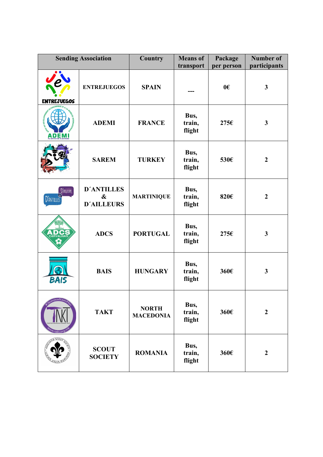| <b>Sending Association</b>            |                                                             | Country                          | <b>Means</b> of<br>transport | Package<br>per person | <b>Number of</b><br>participants |
|---------------------------------------|-------------------------------------------------------------|----------------------------------|------------------------------|-----------------------|----------------------------------|
| <b>ENTREJUEGOS</b>                    | <b>ENTREJUEGOS</b>                                          | <b>SPAIN</b>                     |                              | 0 <sup>ε</sup>        | $\mathbf{3}$                     |
| A D E M I                             | <b>ADEMI</b>                                                | <b>FRANCE</b>                    | Bus,<br>train,<br>flight     | 275€                  | $\mathbf{3}$                     |
|                                       | <b>SAREM</b>                                                | <b>TURKEY</b>                    | Bus,<br>train,<br>flight     | 530€                  | $\boldsymbol{2}$                 |
| D'ATLLEURS<br>เผ<br><b>D'ANTILLES</b> | <b>D'ANTILLES</b><br>$\boldsymbol{\&}$<br><b>D'AILLEURS</b> | <b>MARTINIQUE</b>                | Bus,<br>train,<br>flight     | 820€                  | $\boldsymbol{2}$                 |
| CARVALHAIS                            | <b>ADCS</b>                                                 | <b>PORTUGAL</b>                  | Bus,<br>train,<br>flight     | 275€                  | $\mathbf{3}$                     |
| <b>BAIS</b>                           | <b>BAIS</b>                                                 | <b>HUNGARY</b>                   | Bus,<br>train,<br>flight     | 360€                  | $\mathbf{3}$                     |
| војкиКакод<br>fakt of:                | <b>TAKT</b>                                                 | <b>NORTH</b><br><b>MACEDONIA</b> | Bus,<br>train,<br>flight     | 360€                  | $\boldsymbol{2}$                 |
| <b>A SCOUT</b>                        | <b>SCOUT</b><br><b>SOCIETY</b>                              | <b>ROMANIA</b>                   | Bus,<br>train,<br>flight     | 360€                  | $\overline{2}$                   |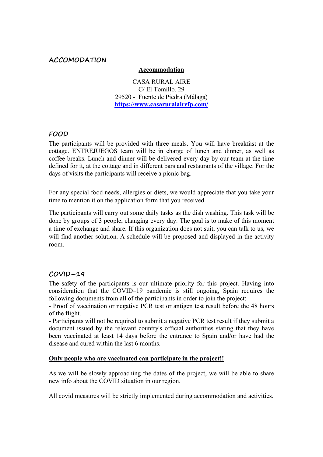#### **ACCOMODATION**

#### **Accommodation**

CASA RURAL AIRE C/ El Tomillo, 29 29520 - Fuente de Piedra (Málaga) **<https://www.casaruralairefp.com/>**

#### **FOOD**

The participants will be provided with three meals. You will have breakfast at the cottage. ENTREJUEGOS team will be in charge of lunch and dinner, as well as coffee breaks. Lunch and dinner will be delivered every day by our team at the time defined for it, at the cottage and in different bars and restaurants of the village. For the days of visits the participants will receive a picnic bag.

For any special food needs, allergies or diets, we would appreciate that you take your time to mention it on the application form that you received.

The participants will carry out some daily tasks as the dish washing. This task will be done by groups of 3 people, changing every day. The goal is to make of this moment a time of exchange and share. If this organization doesnot suit, you can talk to us, we will find another solution. A schedule will be proposed and displayed in the activity room.

#### **COVID–19**

The safety of the participants is our ultimate priority for this project. Having into consideration that the COVID–19 pandemic is still ongoing, Spain requires the following documents from all of the participants in order to join the project:

- Proof of vaccination or negative PCR test or antigen test result before the 48 hours of the flight.

- Participants will not be required to submit a negative PCR test result if they submit a document issued by the relevant country's official authorities stating that they have been vaccinated at least 14 days before the entrance to Spain and/or have had the disease and cured within the last 6 months.

#### **Only people who are vaccinated can participate in the project!!**

As we will be slowly approaching the dates of the project, we will be able to share new info about the COVID situation in our region.

All covid measures will be strictly implemented during accommodation and activities.